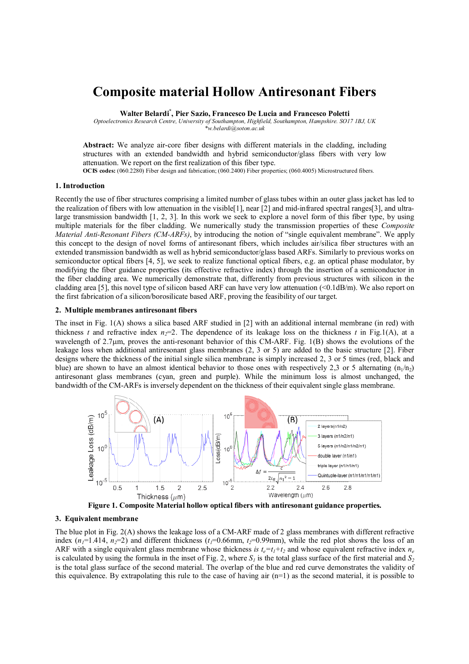# **Composite material Hollow Antiresonant Fibers**

**Walter Belardi\* , Pier Sazio, Francesco De Lucia and Francesco Poletti**

*Optoelectronics Research Centre, University of Southampton, Highfield, Southampton, Hampshire. SO17 1BJ, UK \*w.belardi@soton.ac.uk*

**Abstract:** We analyze air-core fiber designs with different materials in the cladding, including structures with an extended bandwidth and hybrid semiconductor/glass fibers with very low attenuation. We report on the first realization of this fiber type.

**OCIS codes:** (060.2280) Fiber design and fabrication; (060.2400) Fiber properties; (060.4005) Microstructured fibers.

#### **1. Introduction**

Recently the use of fiber structures comprising a limited number of glass tubes within an outer glass jacket has led to the realization of fibers with low attenuation in the visible [1], near [2] and mid-infrared spectral ranges[3], and ultralarge transmission bandwidth [1, 2, 3]. In this work we seek to explore a novel form of this fiber type, by using multiple materials for the fiber cladding. We numerically study the transmission properties of these *Composite Material Anti-Resonant Fibers (CM-ARFs)*, by introducing the notion of "single equivalent membrane". We apply this concept to the design of novel forms of antiresonant fibers, which includes air/silica fiber structures with an extended transmission bandwidth as well as hybrid semiconductor/glass based ARFs. Similarly to previous works on semiconductor optical fibers [4, 5], we seek to realize functional optical fibers, e.g. an optical phase modulator, by modifying the fiber guidance properties (its effective refractive index) through the insertion of a semiconductor in the fiber cladding area. We numerically demonstrate that, differently from previous structures with silicon in the cladding area [5], this novel type of silicon based ARF can have very low attenuation  $\leq 0.1$ dB/m). We also report on the first fabrication of a silicon/borosilicate based ARF, proving the feasibility of our target.

## **2. Multiple membranes antiresonant fibers**

The inset in Fig. 1(A) shows a silica based ARF studied in [2] with an additional internal membrane (in red) with thickness *t* and refractive index  $n=2$ . The dependence of its leakage loss on the thickness *t* in Fig.1(A), at a wavelength of  $2.7\mu$ m, proves the anti-resonant behavior of this CM-ARF. Fig. 1(B) shows the evolutions of the leakage loss when additional antiresonant glass membranes (2, 3 or 5) are added to the basic structure [2]. Fiber designs where the thickness of the initial single silica membrane is simply increased 2, 3 or 5 times (red, black and blue) are shown to have an almost identical behavior to those ones with respectively 2,3 or 5 alternating  $(n_1/n_2)$ antiresonant glass membranes (cyan, green and purple). While the minimum loss is almost unchanged, the bandwidth of the CM-ARFs is inversely dependent on the thickness of their equivalent single glass membrane.



**Figure 1. Composite Material hollow optical fibers with antiresonant guidance properties.** 

### **3. Equivalent membrane**

The blue plot in Fig. 2(A) shows the leakage loss of a CM-ARF made of 2 glass membranes with different refractive index  $(n_1=1.414, n_2=2)$  and different thickness  $(t_1=0.66$ mm,  $t_2=0.99$ mm), while the red plot shows the loss of an ARF with a single equivalent glass membrane whose thickness *is*  $t_e = t_1 + t_2$  and whose equivalent refractive index  $n_e$ is calculated by using the formula in the inset of Fig. 2, where  $S<sub>l</sub>$  is the total glass surface of the first material and  $S<sub>2</sub>$ is the total glass surface of the second material. The overlap of the blue and red curve demonstrates the validity of this equivalence. By extrapolating this rule to the case of having air  $(n=1)$  as the second material, it is possible to